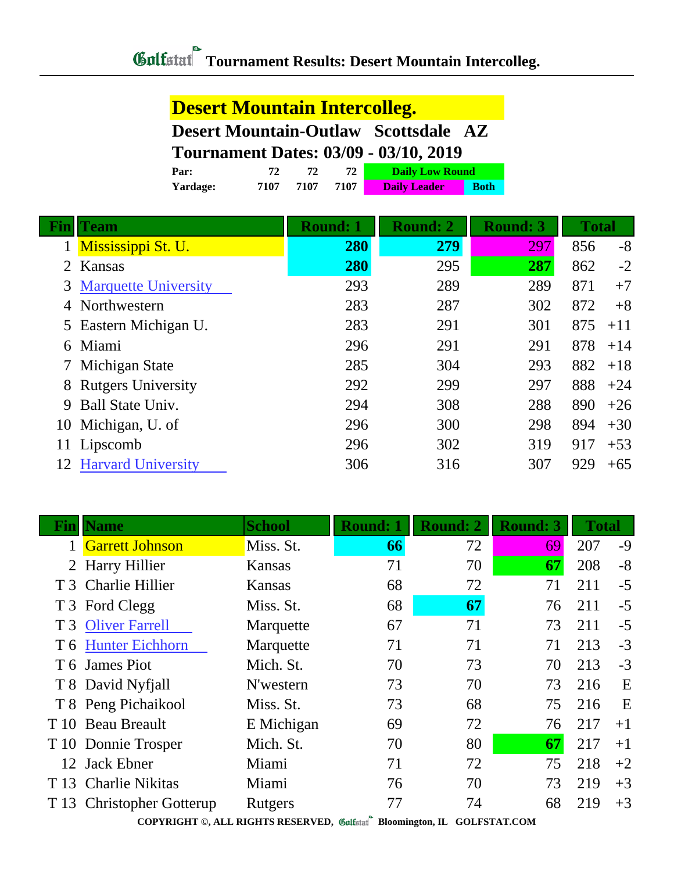## **Desert Mountain Intercolleg.**

**Desert Mountain-Outlaw Scottsdale AZ**

## **Tournament Dates: 03/09 - 03/10, 2019**

| Par:     | 71   |      |      | <b>Daily Low Round</b> |             |
|----------|------|------|------|------------------------|-------------|
| Yardage: | 7107 | 7107 | 7107 | <b>Daily Leader</b>    | <b>Both</b> |

| <b>Team</b>                 | <b>Round: 1</b>                           | <b>Round: 2</b> | <b>Round: 3</b> |     |              |
|-----------------------------|-------------------------------------------|-----------------|-----------------|-----|--------------|
| Mississippi St. U.          | 280                                       | 279             | 297             | 856 | $-8$         |
| Kansas                      | 280                                       | 295             | 287             | 862 | $-2$         |
| <b>Marquette University</b> | 293                                       | 289             | 289             | 871 | $+7$         |
| Northwestern                | 283                                       | 287             | 302             | 872 | $+8$         |
|                             | 283                                       | 291             | 301             | 875 | $+11$        |
| Miami                       | 296                                       | 291             | 291             | 878 | $+14$        |
| Michigan State              | 285                                       | 304             | 293             | 882 | $+18$        |
| <b>Rutgers University</b>   | 292                                       | 299             | 297             | 888 | $+24$        |
| <b>Ball State Univ.</b>     | 294                                       | 308             | 288             | 890 | $+26$        |
| Michigan, U. of             | 296                                       | 300             | 298             | 894 | $+30$        |
| Lipscomb                    | 296                                       | 302             | 319             | 917 | $+53$        |
| <b>Harvard University</b>   | 306                                       | 316             | 307             | 929 | $+65$        |
| 6<br>9<br>10<br>12          | $2^{\circ}$<br>3<br>5 Eastern Michigan U. |                 |                 |     | <b>Total</b> |

| Fın  | <b>Name</b>                 | <b>School</b> | <b>Round: 1</b> | <b>Round: 2</b> | <b>Round: 3</b> | <b>Total</b> |      |
|------|-----------------------------|---------------|-----------------|-----------------|-----------------|--------------|------|
|      | <b>Garrett Johnson</b>      | Miss. St.     | 66              | 72              | 69              | 207          | $-9$ |
|      | 2 Harry Hillier             | Kansas        | 71              | 70              | 67              | 208          | $-8$ |
|      | T 3 Charlie Hillier         | Kansas        | 68              | 72              | 71              | 211          | $-5$ |
|      | T 3 Ford Clegg              | Miss. St.     | 68              | 67              | 76              | 211          | $-5$ |
|      | T 3 Oliver Farrell          | Marquette     | 67              | 71              | 73              | 211          | $-5$ |
|      | T 6 Hunter Eichhorn         | Marquette     | 71              | 71              | 71              | 213          | $-3$ |
|      | T 6 James Piot              | Mich. St.     | 70              | 73              | 70              | 213          | $-3$ |
|      | T 8 David Nyfjall           | N'western     | 73              | 70              | 73              | 216          | E    |
|      | T 8 Peng Pichaikool         | Miss. St.     | 73              | 68              | 75              | 216          | E    |
|      | T 10 Beau Breault           | E Michigan    | 69              | 72              | 76              | 217          | $+1$ |
|      | T 10 Donnie Trosper         | Mich. St.     | 70              | 80              | 67              | 217          | $+1$ |
|      | 12 Jack Ebner               | Miami         | 71              | 72              | 75              | 218          | $+2$ |
| T 13 | <b>Charlie Nikitas</b>      | Miami         | 76              | 70              | 73              | 219          | $+3$ |
| T 13 | <b>Christopher Gotterup</b> | Rutgers       | 77              | 74              | 68              | 219          | $+3$ |

**COPYRIGHT ©, ALL RIGHTS RESERVED, Bloomington, IL GOLFSTAT.COM**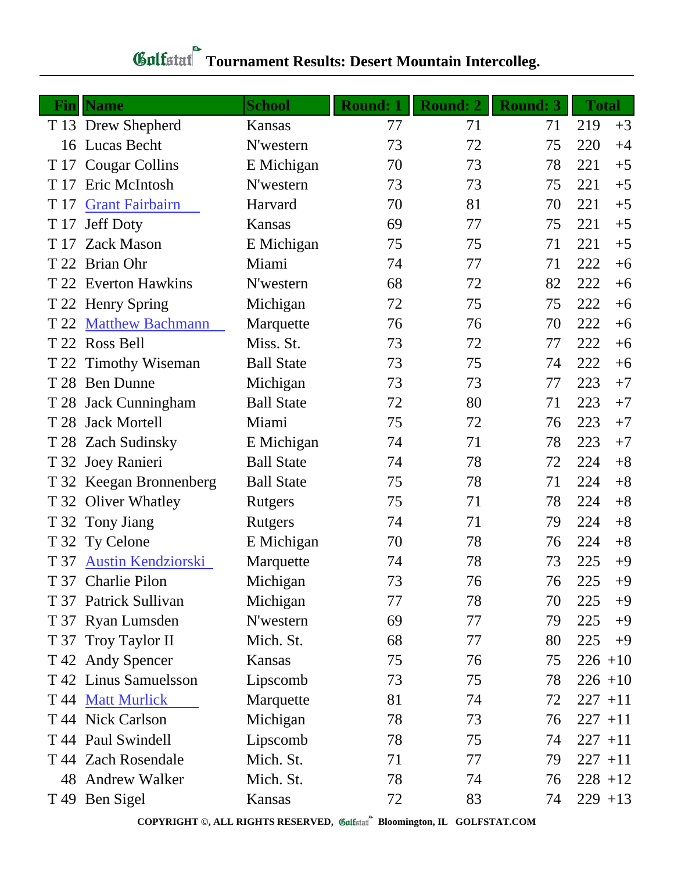|      | <b>Fin</b> Name         | <b>School</b>     | <b>Round: 1</b> | <b>Round: 2</b> | <b>Round: 3</b> | <b>Total</b> |      |
|------|-------------------------|-------------------|-----------------|-----------------|-----------------|--------------|------|
|      | T 13 Drew Shepherd      | Kansas            | 77              | 71              | 71              | 219          | $+3$ |
|      | 16 Lucas Becht          | N'western         | 73              | 72              | 75              | 220          | $+4$ |
| T 17 | <b>Cougar Collins</b>   | E Michigan        | 70              | 73              | 78              | 221          | $+5$ |
| T 17 | Eric McIntosh           | N'western         | 73              | 73              | 75              | 221          | $+5$ |
| T 17 | <b>Grant Fairbairn</b>  | Harvard           | 70              | 81              | 70              | 221          | $+5$ |
|      | T 17 Jeff Doty          | Kansas            | 69              | 77              | 75              | 221          | $+5$ |
| T 17 | <b>Zack Mason</b>       | E Michigan        | 75              | 75              | 71              | 221          | $+5$ |
|      | T 22 Brian Ohr          | Miami             | 74              | 77              | 71              | 222          | $+6$ |
|      | T 22 Everton Hawkins    | N'western         | 68              | 72              | 82              | 222          | $+6$ |
|      | T 22 Henry Spring       | Michigan          | 72              | 75              | 75              | 222          | $+6$ |
| T 22 | <b>Matthew Bachmann</b> | Marquette         | 76              | 76              | 70              | 222          | $+6$ |
|      | T 22 Ross Bell          | Miss. St.         | 73              | 72              | 77              | 222          | $+6$ |
|      | T 22 Timothy Wiseman    | <b>Ball State</b> | 73              | 75              | 74              | 222          | $+6$ |
|      | T 28 Ben Dunne          | Michigan          | 73              | 73              | 77              | 223          | $+7$ |
|      | T 28 Jack Cunningham    | <b>Ball State</b> | 72              | 80              | 71              | 223          | $+7$ |
|      | T 28 Jack Mortell       | Miami             | 75              | 72              | 76              | 223          | $+7$ |
|      | T 28 Zach Sudinsky      | E Michigan        | 74              | 71              | 78              | 223          | $+7$ |
|      | T 32 Joey Ranieri       | <b>Ball State</b> | 74              | 78              | 72              | 224          | $+8$ |
|      | T 32 Keegan Bronnenberg | <b>Ball State</b> | 75              | 78              | 71              | 224          | $+8$ |
|      | T 32 Oliver Whatley     | Rutgers           | 75              | 71              | 78              | 224          | $+8$ |
| T 32 | Tony Jiang              | Rutgers           | 74              | 71              | 79              | 224          | $+8$ |
|      | T 32 Ty Celone          | E Michigan        | 70              | 78              | 76              | 224          | $+8$ |
|      | T 37 Austin Kendziorski | Marquette         | 74              | 78              | 73              | 225          | $+9$ |
|      | T 37 Charlie Pilon      | Michigan          | 73              | 76              | 76              | 225          | $+9$ |
|      | T 37 Patrick Sullivan   | Michigan          | 77              | 78              | 70              | 225          | $+9$ |
|      | T 37 Ryan Lumsden       | N'western         | 69              | 77              | 79              | 225          | $+9$ |
|      | T 37 Troy Taylor II     | Mich. St.         | 68              | 77              | 80              | 225          | $+9$ |
|      | T 42 Andy Spencer       | Kansas            | 75              | 76              | 75              | $226 + 10$   |      |
|      | T 42 Linus Samuelsson   | Lipscomb          | 73              | 75              | 78              | $226 + 10$   |      |
| T 44 | <b>Matt Murlick</b>     | Marquette         | 81              | 74              | 72              | $227 + 11$   |      |
|      | T 44 Nick Carlson       | Michigan          | 78              | 73              | 76              | $227 + 11$   |      |
|      | T 44 Paul Swindell      | Lipscomb          | 78              | 75              | 74              | $227 + 11$   |      |
|      | T 44 Zach Rosendale     | Mich. St.         | 71              | 77              | 79              | $227 + 11$   |      |
| 48   | <b>Andrew Walker</b>    | Mich. St.         | 78              | 74              | 76              | $228 + 12$   |      |
|      | T 49 Ben Sigel          | Kansas            | 72              | 83              | 74              | $229 + 13$   |      |

## **Tournament Results: Desert Mountain Intercolleg.**